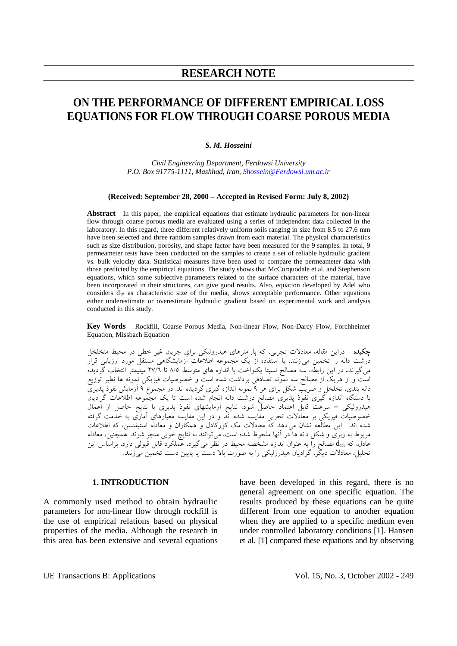## **RESEARCH NOTE**

# **ON THE PERFORMANCE OF DIFFERENT EMPIRICAL LOSS EQUATIONS FOR FLOW THROUGH COARSE POROUS MEDIA**

#### *S. M. Hosseini*

*Civil Engineering Department, Ferdowsi University P.O. Box 91775-1111, Mashhad, Iran, Shossein@Ferdowsi.um.ac.ir*

#### **(Received: September 28, 2000 – Accepted in Revised Form: July 8, 2002)**

**Abstract** In this paper, the empirical equations that estimate hydraulic parameters for non-linear flow through coarse porous media are evaluated using a series of independent data collected in the laboratory. In this regard, three different relatively uniform soils ranging in size from 8.5 to 27.6 mm have been selected and three random samples drawn from each material. The physical characteristics such as size distribution, porosity, and shape factor have been measured for the 9 samples. In total, 9 permeameter tests have been conducted on the samples to create a set of reliable hydraulic gradient vs. bulk velocity data. Statistical measures have been used to compare the permeameter data with those predicted by the empirical equations. The study shows that McCorquodale et al. and Stephenson equations, which some subjective parameters related to the surface characters of the material, have been incorporated in their structures, can give good results. Also, equation developed by Adel who considers  $d_{15}$  as characteristic size of the media, shows acceptable performance. Other equations either underestimate or overestimate hydraulic gradient based on experimental work and analysis conducted in this study.

**Key Words** Rockfill, Coarse Porous Media, Non-linear Flow, Non-Darcy Flow, Forchheimer Equation, Missbach Equation

چكيده دراين مقاله، معادلات تجربي، كه پارامترهاي هيدروليكي براي جريان غير خطي در محيط متخلخل درشت دانه را تخمين ميزنند، با استفاده از يك مجموعه اطلاعات آزمايشگاهي مستقل مورد ارزيابي قرار ميگيرند**.** در اين رابطه، سه مصالح نسبتا يكنواخت با اندازه هاي متوسط ٨/٥ تا ٢٧/٦ ميليمتر انتخاب گرديده است و از هريك از مصالح سه نمونه تصادفي برداشت شده است و خصوصيات فيزيكي نمونه ها نظير توزيع دانه بندي، تخلخل و ضريب شكل براي هر ٩ نمونه اندازه گيري گرديده اند. در مجموع ٩ آزمايش نفوذ پذيري با دستگاه اندازه گيري نفوذ پذيري مصالح درشت دانه انجام شده است تا يك مجموعه اطلاعات گراديان هيدروليكي **–** سرعت قابل اعتماد حاصل شود. نتايج آزمايشهاي نفوذ پذيري با نتايج حاصل از اعمال خصوصيات فيزيكي بر معادلات تجربي مقايسه شده اند و در اين مقايسه معيارهاي آماري به خدمت گرفته شده اند . اين مطالعه نشان ميدهد كه معادلات مك كوركادل و همكاران و معادله استيفنسن، كه اطلاعات مربوط به زبري و شكل دانه ها در آنها ملحوظ شده است، ميتوانند به نتايج خوبي منجر شوند. همچنين، معادله عادل، كه 15d مصالح را به عنوان اندازه مشخصه محيط در نظر ميگيرد، عملكرد قابل قبولي دارد. براساس اين تحليل، معادلات ديگر، گراديان هيدروليكي را به صورت بالا دست يا پايين دست تخمين ميزنند.

#### **1. INTRODUCTION**

A commonly used method to obtain hydraulic parameters for non-linear flow through rockfill is the use of empirical relations based on physical properties of the media. Although the research in this area has been extensive and several equations have been developed in this regard, there is no general agreement on one specific equation. The results produced by these equations can be quite different from one equation to another equation when they are applied to a specific medium even under controlled laboratory conditions [1]. Hansen et al. [1] compared these equations and by observing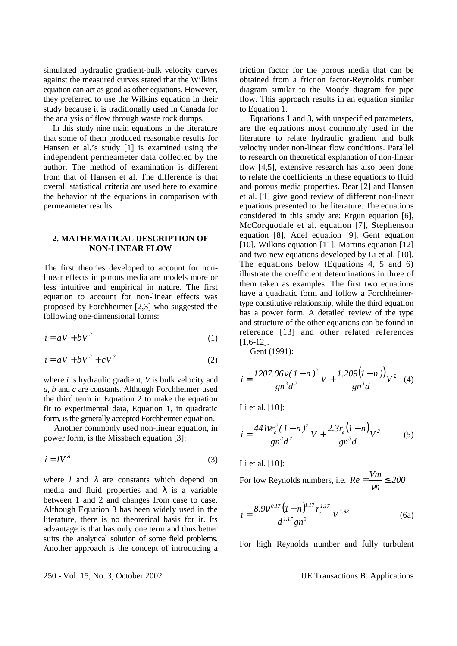simulated hydraulic gradient-bulk velocity curves against the measured curves stated that the Wilkins equation can act as good as other equations. However, they preferred to use the Wilkins equation in their study because it is traditionally used in Canada for the analysis of flow through waste rock dumps.

 In this study nine main equations in the literature that some of them produced reasonable results for Hansen et al.'s study [1] is examined using the independent permeameter data collected by the author. The method of examination is different from that of Hansen et al. The difference is that overall statistical criteria are used here to examine the behavior of the equations in comparison with permeameter results.

### **2. MATHEMATICAL DESCRIPTION OF NON-LINEAR FLOW**

The first theories developed to account for nonlinear effects in porous media are models more or less intuitive and empirical in nature. The first equation to account for non-linear effects was proposed by Forchheimer [2,3] who suggested the following one-dimensional forms:

$$
i = aV + bV^2 \tag{1}
$$

$$
i = aV + bV^2 + cV^3 \tag{2}
$$

where *i* is hydraulic gradient, *V* is bulk velocity and *a, b* and *c* are constants. Although Forchheimer used the third term in Equation 2 to make the equation fit to experimental data, Equation 1, in quadratic form, is the generally accepted Forchheimer equation.

 Another commonly used non-linear equation, in power form, is the Missbach equation [3]:

$$
i = lV^{\lambda} \tag{3}
$$

where  $l$  and  $\lambda$  are constants which depend on media and fluid properties and  $\lambda$  is a variable between 1 and 2 and changes from case to case. Although Equation 3 has been widely used in the literature, there is no theoretical basis for it. Its advantage is that has only one term and thus better suits the analytical solution of some field problems. Another approach is the concept of introducing a friction factor for the porous media that can be obtained from a friction factor-Reynolds number diagram similar to the Moody diagram for pipe flow. This approach results in an equation similar to Equation 1.

 Equations 1 and 3, with unspecified parameters, are the equations most commonly used in the literature to relate hydraulic gradient and bulk velocity under non-linear flow conditions. Parallel to research on theoretical explanation of non-linear flow [4,5], extensive research has also been done to relate the coefficients in these equations to fluid and porous media properties. Bear [2] and Hansen et al. [1] give good review of different non-linear equations presented to the literature. The equations considered in this study are: Ergun equation [6], McCorquodale et al. equation [7], Stephenson equation [8], Adel equation [9], Gent equation [10], Wilkins equation [11], Martins equation [12] and two new equations developed by Li et al. [10]. The equations below (Equations 4, 5 and 6) illustrate the coefficient determinations in three of them taken as examples. The first two equations have a quadratic form and follow a Forchheimertype constitutive relationship, while the third equation has a power form. A detailed review of the type and structure of the other equations can be found in reference [13] and other related references [1,6-12].

Gent (1991):

$$
i = \frac{1207.06v(1-n)^2}{gn^3d^2}V + \frac{1.209(1-n)}{gn^3d}V^2
$$
 (4)

Li et al. [10]:

$$
i = \frac{44Ivr_e^2(1-n)^2}{gn^3d^2}V + \frac{2.3r_e(1-n)}{gn^3d}V^2
$$
 (5)

Li et al. [10]:

For low Reynolds numbers, i.e.  $Re = \frac{V}{V} \le 200$ *n*  $Re = \frac{Vm}{vn} \leq$ 

$$
i = \frac{8.9v^{0.17}(1-n)^{1.17}r_e^{1.17}}{d^{1.17}gn^3}V^{1.83}
$$
 (6a)

For high Reynolds number and fully turbulent

250 - Vol. 15, No. 3, October 2002 IJE Transactions B: Applications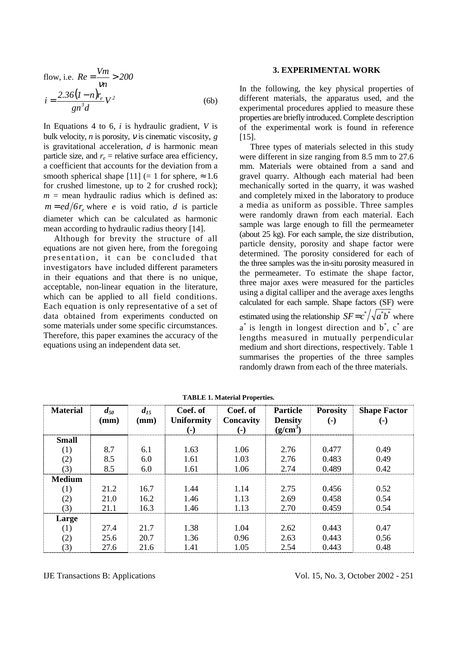flow, i.e. 
$$
Re = \frac{Vm}{vn} > 200
$$
  

$$
i = \frac{2.36(1 - n)r_e}{gn^3 d} V^2
$$
 (6b)

In Equations 4 to 6, *i* is hydraulic gradient, *V* is bulk velocity, *n* is porosity, ν is cinematic viscosity, *g* is gravitational acceleration, *d* is harmonic mean particle size, and  $r_e$  = relative surface area efficiency, a coefficient that accounts for the deviation from a smooth spherical shape [11] (= 1 for sphere,  $\approx 1.6$ ) for crushed limestone, up to 2 for crushed rock);  $m =$  mean hydraulic radius which is defined as:  $m = ed/6r$ , where *e* is void ratio, *d* is particle diameter which can be calculated as harmonic mean according to hydraulic radius theory [14].

 Although for brevity the structure of all equations are not given here, from the foregoing presentation, it can be concluded that investigators have included different parameters in their equations and that there is no unique, acceptable, non-linear equation in the literature, which can be applied to all field conditions. Each equation is only representative of a set of data obtained from experiments conducted on some materials under some specific circumstances. Therefore, this paper examines the accuracy of the equations using an independent data set.

#### **3. EXPERIMENTAL WORK**

In the following, the key physical properties of different materials, the apparatus used, and the experimental procedures applied to measure these properties are briefly introduced. Complete description of the experimental work is found in reference [15].

 Three types of materials selected in this study were different in size ranging from 8.5 mm to 27.6 mm. Materials were obtained from a sand and gravel quarry. Although each material had been mechanically sorted in the quarry, it was washed and completely mixed in the laboratory to produce a media as uniform as possible. Three samples were randomly drawn from each material. Each sample was large enough to fill the permeameter (about 25 kg). For each sample, the size distribution, particle density, porosity and shape factor were determined. The porosity considered for each of the three samples was the in-situ porosity measured in the permeameter. To estimate the shape factor, three major axes were measured for the particles using a digital calliper and the average axes lengths calculated for each sample. Shape factors (SF) were estimated using the relationship  $SF = c^* / \sqrt{a^* b^*}$  where  $a^*$  is length in longest direction and  $b^*$ ,  $c^*$  are lengths measured in mutually perpendicular medium and short directions, respectively. Table 1 summarises the properties of the three samples randomly drawn from each of the three materials.

| <b>Material</b> | $d_{50}$ | $d_{15}$ | Coef. of          | Coef. of          | <b>Particle</b> | <b>Porosity</b> | <b>Shape Factor</b>      |
|-----------------|----------|----------|-------------------|-------------------|-----------------|-----------------|--------------------------|
|                 | (mm)     | (mm)     | <b>Uniformity</b> | Concavity         | <b>Density</b>  | (-)             | $\left( \text{-}\right)$ |
|                 |          |          | $\lnot$           | $\vert$ – $\vert$ | $(g/cm^3)$      |                 |                          |
| Small           |          |          |                   |                   |                 |                 |                          |
| (1)             | 8.7      | 6.1      | 1.63              | 1.06              | 2.76            | 0.477           | 0.49                     |
| (2)             | 8.5      | 6.0      | 1.61              | 1.03              | 2.76            | 0.483           | 0.49                     |
| (3)             | 8.5      | 6.0      | 1.61              | 1.06              | 2.74            | 0.489           | 0.42                     |
| <b>Medium</b>   |          |          |                   |                   |                 |                 |                          |
| (1)             | 21.2     | 16.7     | 1.44              | 1.14              | 2.75            | 0.456           | 0.52                     |
| (2)             | 21.0     | 16.2     | 1.46              | 1.13              | 2.69            | 0.458           | 0.54                     |
| (3)             | 21.1     | 16.3     | 1.46              | 1 13              | 2.70            | 0.459           | 0.54                     |
| Large           |          |          |                   |                   |                 |                 |                          |
| (1)             | 27.4     | 21.7     | 1.38              | 1.04              | 2.62            | 0.443           | 0.47                     |
| (2)             | 25.6     | 20.7     | 1.36              | 0.96              | 2.63            | 0.443           | 0.56                     |
| (3)             | 27.6     | 21.6     | 1.41              | 1.05              | 2.54            | 0.443           | 0.48                     |

**TABLE 1. Material Properties.**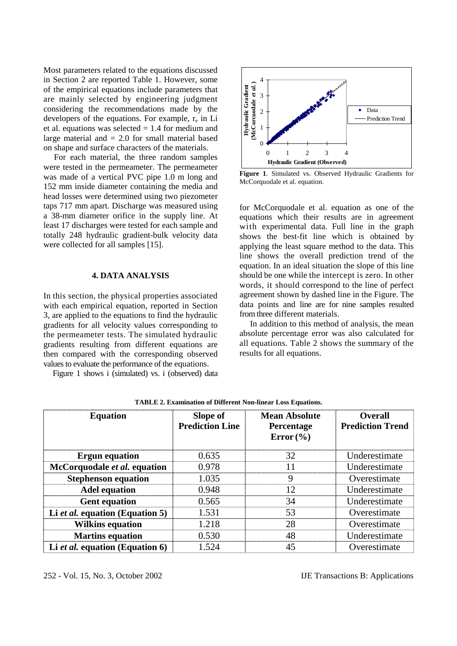Most parameters related to the equations discussed in Section 2 are reported Table 1. However, some of the empirical equations include parameters that are mainly selected by engineering judgment considering the recommendations made by the developers of the equations. For example,  $r_e$  in Li et al. equations was selected  $= 1.4$  for medium and large material and  $= 2.0$  for small material based on shape and surface characters of the materials.

 For each material, the three random samples were tested in the permeameter. The permeameter was made of a vertical PVC pipe 1.0 m long and 152 mm inside diameter containing the media and head losses were determined using two piezometer taps 717 mm apart. Discharge was measured using a 38-mm diameter orifice in the supply line. At least 17 discharges were tested for each sample and totally 248 hydraulic gradient-bulk velocity data were collected for all samples [15].

#### **4. DATA ANALYSIS**

In this section, the physical properties associated with each empirical equation, reported in Section 3, are applied to the equations to find the hydraulic gradients for all velocity values corresponding to the permeameter tests. The simulated hydraulic gradients resulting from different equations are then compared with the corresponding observed values to evaluate the performance of the equations.

Figure 1 shows i (simulated) vs. i (observed) data



**Figure 1**. Simulated vs. Observed Hydraulic Gradients for McCorquodale et al. equation.

for McCorquodale et al. equation as one of the equations which their results are in agreement with experimental data. Full line in the graph shows the best-fit line which is obtained by applying the least square method to the data. This line shows the overall prediction trend of the equation. In an ideal situation the slope of this line should be one while the intercept is zero. In other words, it should correspond to the line of perfect agreement shown by dashed line in the Figure. The data points and line are for nine samples resulted from three different materials.

 In addition to this method of analysis, the mean absolute percentage error was also calculated for all equations. Table 2 shows the summary of the results for all equations.

| <b>Equation</b>                 | Slope of<br><b>Prediction Line</b> | <b>Mean Absolute</b><br><b>Percentage</b><br>Error(%) | Overall<br><b>Prediction Trend</b> |
|---------------------------------|------------------------------------|-------------------------------------------------------|------------------------------------|
| <b>Ergun equation</b>           | 0.635                              | 32                                                    | Underestimate                      |
| McCorquodale et al. equation    | 0.978                              |                                                       | Underestimate                      |
| <b>Stephenson equation</b>      | 1.035                              |                                                       | Overestimate                       |
| <b>Adel equation</b>            | 0.948                              |                                                       | Underestimate                      |
| <b>Gent equation</b>            | 0.565                              | 34                                                    | Underestimate                      |
| Li et al. equation (Equation 5) | 1 531                              | 53                                                    | Overestimate                       |
| <b>Wilkins equation</b>         | 1.218                              | 28                                                    | Overestimate                       |
| <b>Martins equation</b>         | 0.530                              | 1 Q                                                   | Underestimate                      |
| Li et al. equation (Equation 6) | 1.524                              |                                                       | Overestimate                       |

**TABLE 2. Examination of Different Non-linear Loss Equations.** 

252 - Vol. 15, No. 3, October 2002 IJE Transactions B: Applications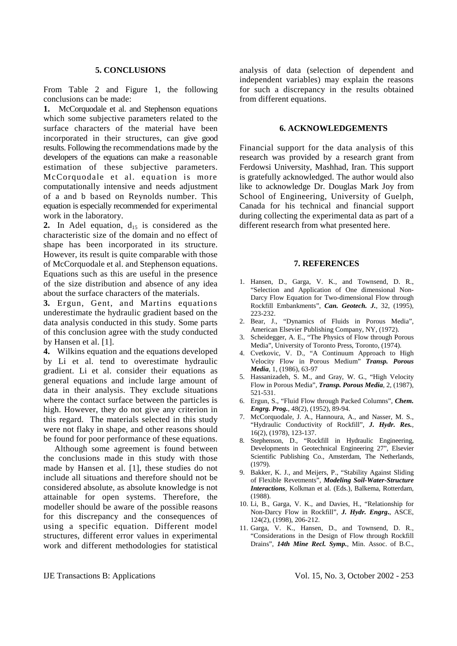#### **5. CONCLUSIONS**

From Table 2 and Figure 1, the following conclusions can be made:

**1.** McCorquodale et al. and Stephenson equations which some subjective parameters related to the surface characters of the material have been incorporated in their structures, can give good results. Following the recommendations made by the developers of the equations can make a reasonable estimation of these subjective parameters. McCorquodale et al. equation is more computationally intensive and needs adjustment of a and b based on Reynolds number. This equation is especially recommended for experimental work in the laboratory.

2. In Adel equation,  $d_{15}$  is considered as the characteristic size of the domain and no effect of shape has been incorporated in its structure. However, its result is quite comparable with those of McCorquodale et al. and Stephenson equations. Equations such as this are useful in the presence of the size distribution and absence of any idea about the surface characters of the materials.

**3.** Ergun, Gent, and Martins equations underestimate the hydraulic gradient based on the data analysis conducted in this study. Some parts of this conclusion agree with the study conducted by Hansen et al. [1].

**4.** Wilkins equation and the equations developed by Li et al. tend to overestimate hydraulic gradient. Li et al. consider their equations as general equations and include large amount of data in their analysis. They exclude situations where the contact surface between the particles is high. However, they do not give any criterion in this regard. The materials selected in this study were not flaky in shape, and other reasons should be found for poor performance of these equations.

 Although some agreement is found between the conclusions made in this study with those made by Hansen et al. [1], these studies do not include all situations and therefore should not be considered absolute, as absolute knowledge is not attainable for open systems. Therefore, the modeller should be aware of the possible reasons for this discrepancy and the consequences of using a specific equation. Different model structures, different error values in experimental work and different methodologies for statistical analysis of data (selection of dependent and independent variables) may explain the reasons for such a discrepancy in the results obtained from different equations.

#### **6. ACKNOWLEDGEMENTS**

Financial support for the data analysis of this research was provided by a research grant from Ferdowsi University, Mashhad, Iran. This support is gratefully acknowledged. The author would also like to acknowledge Dr. Douglas Mark Joy from School of Engineering, University of Guelph, Canada for his technical and financial support during collecting the experimental data as part of a different research from what presented here.

#### **7. REFERENCES**

- 1. Hansen, D., Garga, V. K., and Townsend, D. R., "Selection and Application of One dimensional Non-Darcy Flow Equation for Two-dimensional Flow through Rockfill Embankments", *Can. Geotech. J.,* 32, (1995), 223-232.
- 2. Bear, J., "Dynamics of Fluids in Porous Media", American Elsevier Publishing Company, NY, (1972).
- 3. Scheidegger, A. E., "The Physics of Flow through Porous Media", University of Toronto Press, Toronto, (1974).
- 4. Cvetkovic, V. D., "A Continuum Approach to High Velocity Flow in Porous Medium" *Transp. Porous Media,* 1, (1986), 63-97
- 5. Hassanizadeh, S. M., and Gray, W. G., "High Velocity Flow in Porous Media", *Transp. Porous Media,* 2, (1987), 521-531.
- 6. Ergun, S., "Fluid Flow through Packed Columns", *Chem. Engrg. Prog.*, 48(2), (1952), 89-94.
- 7. McCorquodale, J. A., Hannoura, A., and Nasser, M. S., "Hydraulic Conductivity of Rockfill", *J. Hydr. Res.,*  16(2), (1978), 123-137.
- 8. Stephenson, D., "Rockfill in Hydraulic Engineering, Developments in Geotechnical Engineering 27", Elsevier Scientific Publishing Co., Amsterdam, The Netherlands, (1979).
- 9. Bakker, K. J., and Meijers, P., "Stability Against Sliding of Flexible Revetments", *Modeling Soil-Water-Structure Interactions*, Kolkman et al*.* (Eds.), Balkema, Rotterdam, (1988).
- 10. Li, B., Garga, V. K., and Davies, H., "Relationship for Non-Darcy Flow in Rockfill", *J. Hydr. Engrg***.**, ASCE, 124(2), (1998), 206-212.
- 11. Garga, V. K., Hansen, D., and Townsend, D. R., "Considerations in the Design of Flow through Rockfill Drains", *14th Mine Recl. Symp.*, Min. Assoc. of B.C.,